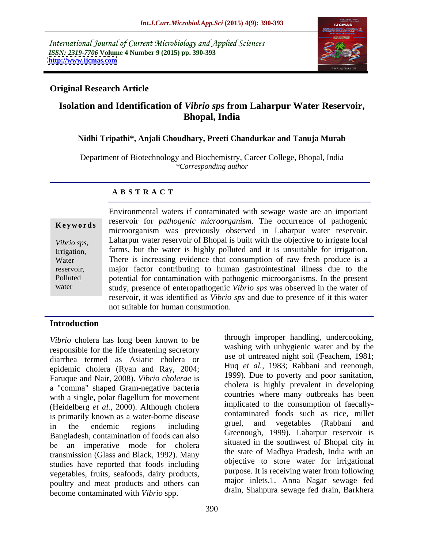International Journal of Current Microbiology and Applied Sciences *ISSN: 2319-7706* **Volume 4 Number 9 (2015) pp. 390-393 <http://www.ijcmas.com>**



# **Original Research Article**

# **Isolation and Identification of** *Vibrio sps* **from Laharpur Water Reservoir, Bhopal, India**

### **Nidhi Tripathi\*, Anjali Choudhary, Preeti Chandurkar and Tanuja Murab**

Department of Biotechnology and Biochemistry, Career College, Bhopal, India *\*Corresponding author*

### **A B S T R A C T**

water

Environmental waters if contaminated with sewage waste are an important reservoir for *pathogenic microorganism*. The occurrence of pathogenic **Keywords EXECUTE:** THE **RESERVIAL PROPERTY IN THE CONSUMER CONSUMISTION RESERVIAL PROPERTY RESERVIAL PROPERTY RESERVIAL PROPERTY RESERVIAL PROPERTY RESERVIAL PROPERTY RESERVIAL PROPERTY RESERVIAL PROPERTY** Laharpur water reservoir of Bhopal is built with the objective to irrigate local *Vibrio sps,* Irrigation, farms, but the water is highly polluted and it is unsuitable for irrigation. There is increasing evidence that consumption of raw fresh produce is a Water major factor contributing to human gastrointestinal illness due to the reservoir, potential for contamination with pathogenic microorganisms. In the present Polluted study, presence of enteropathogenic *Vibrio sps* was observed in the water of reservoir, it was identified as *Vibrio sps* and due to presence of it this water not suitable for human consumption.

## **Introduction**

*Vibrio* cholera has long been known to be responsible for the life threatening secretory diarrhea termed as Asiatic cholera or epidemic cholera (Ryan and Ray, 2004; Faruque and Nair, 2008). *Vibrio cholerae* is a "comma" shaped Gram-negative bacteria with a single, polar flagellum for movement (Heidelberg *et al.,* 2000). Although cholera is primarily known as a water-borne disease<br>in the endemic regions including gruel, and vegetables (Rabbani and in the endemic regions including gruel, and vegetables (Kabbani and Bangladesh, contamination of foods can also be an imperative mode for cholera transmission (Glass and Black, 1992). Many studies have reported that foods including vegetables, fruits, seafoods, dairy products, poultry and meat products and others can become contaminated with *Vibrio* spp.

through improper handling, undercooking, washing with unhygienic water and by the use of untreated night soil (Feachem, 1981; Huq *et al.,* 1983; Rabbani and reenough, 1999). Due to poverty and poor sanitation, cholera is highly prevalent in developing countries where many outbreaks has been implicated to the consumption of faecally contaminated foods such as rice, millet gruel, and vegetables (Rabbani and Greenough, 1999). Laharpur reservoir is situated in the southwest of Bhopal city in the state of Madhya Pradesh, India with an objective to store water for irrigational purpose. It is receiving water from following major inlets.1. Anna Nagar sewage fed drain, Shahpura sewage fed drain, Barkhera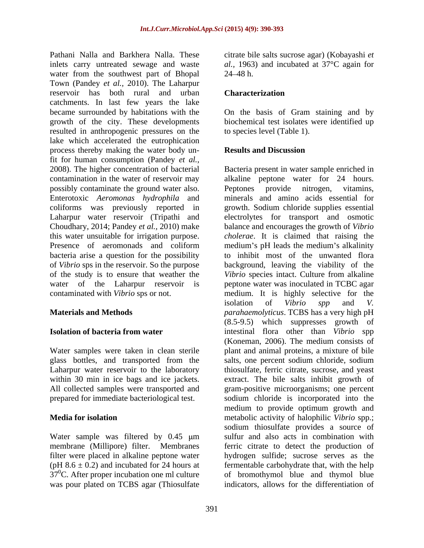Pathani Nalla and Barkhera Nalla. These citrate bile salts sucrose agar) (Kobayashi *et*  inlets carry untreated sewage and waste *al.,* 1963) and incubated at 37°C again for water from the southwest part of Bhopal 24–48 h. Town (Pandey *et al.*, 2010). The Laharpur reservoir has both rural and urban **Characterization** catchments. In last few years the lake became surrounded by habitations with the On the basisof Gram staining and by growth of the city. These developments biochemical test isolates were identified up resulted in anthropogenic pressures on the lake which accelerated the eutrophication process thereby making the water body un-<br>Results and Discussion fit for human consumption (Pandey *et al.,* 2008). The higher concentration of bacterial Bacteria present in water sample enriched in contamination in the water of reservoir may alkaline peptone water for 24 hours. possibly contaminate the ground water also. Peptones provide nitrogen, vitamins, Enterotoxic *Aeromonas hydrophila* and minerals and amino acids essential for coliforms was previously reported in growth. Sodium chloride supplies essential Laharpur water reservoir (Tripathi and electrolytes for transport and osmotic Choudhary, 2014; Pandey *et al.,* 2010) make balance and encourages the growth of *Vibrio* this water unsuitable for irrigation purpose. *cholerae*. It is claimed that raising the Presence of aeromonads and coliform medium's pH leads the medium's alkalinity bacteria arise a question for the possibility to inhibit most of the unwanted flora of *Vibrio* sps in the reservoir. So the purpose of the study is to ensure that weather the *Vibrio* species intact. Culture from alkaline water of the Laharpur reservoir is peptone water was inoculated in TCBC agar contaminated with *Vibrio* sps or not. medium. It is highly selective for the

Water sample was filtered by 0.45  $\mu$ m membrane (Millipore) filter. Membranes  $37^{\circ}$ C. After proper incubation one ml culture was pour plated on TCBS agar (Thiosulfate

 $24 - 48$  h.

## **Characterization**

to species level (Table 1).

## **Results and Discussion**

**Materials and Methods** *parahaemolyticus*. TCBS has a very high pH **Isolation of bacteria from water** intestinal flora other than *Vibrio* spp Water samples were taken in clean sterile plant and animal proteins, a mixture of bile glass bottles, and transported from the salts, one percent sodium chloride, sodium Laharpur water reservoir to the laboratory thiosulfate, ferric citrate, sucrose, and yeast within 30 min in ice bags and ice jackets. extract. The bile salts inhibit growth of All collected samples were transported and gram-positive microorganisms; one percent prepared for immediate bacteriological test. sodium chloride is incorporated into the **Media for isolation metabolic activity of halophilic** *Vibrio* **spp.;** filter were placed in alkaline peptone water hydrogen sulfide; sucrose serves as the  $(pH 8.6 \pm 0.2)$  and incubated for 24 hours at fermentable carbohydrate that, with the help Peptones provide nitrogen, vitamins, background, leaving the viability of the isolation of *Vibrio spp* and *V.*  (8.5-9.5) which suppresses growth of (Koneman, 2006). The medium consists of medium to provide optimum growth and sodium thiosulfate provides a source of sulfur and also acts in combination with ferric citrate to detect the production of of bromothymol blue and thymol blue indicators, allows for the differentiation of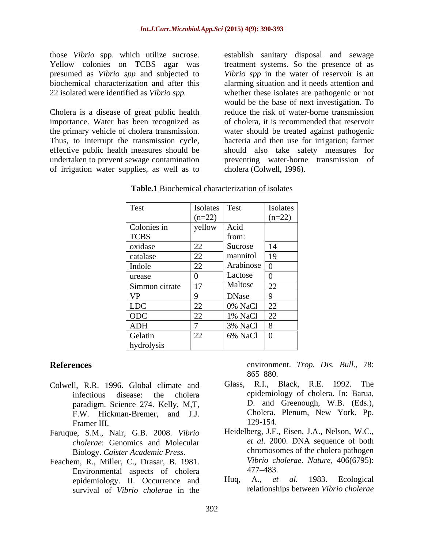Yellow colonies on TCBS agar was treatment systems. So the presence of as presumed as *Vibrio spp* and subjected to biochemical characterization and after this alarming situation and it needs attention and 22 isolated were identified as *Vibrio spp.* whether these isolates are pathogenic or not

Cholera is a disease of great public health importance. Water has been recognized as the primary vehicle of cholera transmission. water should be treated against pathogenic Thus, to interrupt the transmission cycle, bacteria and then use for irrigation; farmer effective public health measures should be should also take safety measures for undertaken to prevent sewage contamination preventing water-borne transmission of of irrigation water supplies, as well as to

those *Vibrio* spp. which utilize sucrose. establish sanitary disposal and sewage *Vibrio spp* in the water of reservoir is an would be the base of next investigation. To reduce the risk of water-borne transmission of cholera, it is recommended that reservoir cholera (Colwell, 1996).

| Test           | <b>Isolates</b> | <b>Test</b>                | Isolates |
|----------------|-----------------|----------------------------|----------|
|                | $(n=22)$        |                            | $(n=22)$ |
| Colonies in    | yellow          | Acid                       |          |
| <b>TCBS</b>    |                 | from:                      |          |
| oxidase        | 22              | Sucrose                    | 14       |
| catalase       | 22              | mannitol                   | 19       |
| Indole         | 22              | Arabinose $\boxed{0}$      |          |
| urease         |                 | Lactose                    |          |
| Simmon citrate | 17              | Maltose                    | 22       |
| <b>VP</b>      |                 | DNase                      |          |
| <b>LDC</b>     | 22              | 0% NaCl                    | 22       |
| ODC            | 22              | 1% NaCl                    | 22       |
| <b>ADH</b>     |                 | 3% NaCl                    | l 8      |
| Gelatin        | 22              | $6\%$ NaCl $\vert 0 \vert$ |          |
| hydrolysis     |                 |                            |          |

| Table.1<br>1 Biochemical characterization<br>of isolate |  |  |
|---------------------------------------------------------|--|--|
|---------------------------------------------------------|--|--|

- F.W. Hickman-Bremer, and J.J. Cholera.<br>Framer III 129-154. Framer III. 129-154.
- Faruque, S.M., Nair, G.B. 2008. *Vibrio cholerae*: Genomics and Molecular
- Biology. *Caister Academic Press*. chromoso<br>Feachem, R., Miller, C., Drasar, B. 1981. *Vibrio ch*<br>Environmental agnects of cholora at 477–483. Environmental aspects of cholera<br>enidemiology II Occurrence and Hug, A., *et al.* 1983. Ecological epidemiology. II. Occurrence and survival of *Vibrio cholerae* in the

**References** environment. *Trop. Dis. Bull.*, 78: 865–880.

- Colwell, R.R. 1996. Global climate and Glass, R.I., Black, R.E. 1992. The infectious disease: the cholera epidemiology of cholera. In: Barua, paradigm. Science 274. Kelly, M,T, B. and Greenough, W.B. (Eds.),<br>FW Hickman-Bremer and II Cholera. Plenum, New York. Pp. D. and Greenough, W.B. (Eds.), Cholera. Plenum, New York. Pp. 129-154.
	- Heidelberg, J.F., Eisen, J.A., Nelson, W.C., *et al.* 2000. DNA sequence of both chromosomes of the cholera pathogen *Vibrio cholerae*. *Nature,* 406(6795): 477 483.
	- Huq, A., *et al.* 1983. Ecological relationships between *Vibrio cholerae*